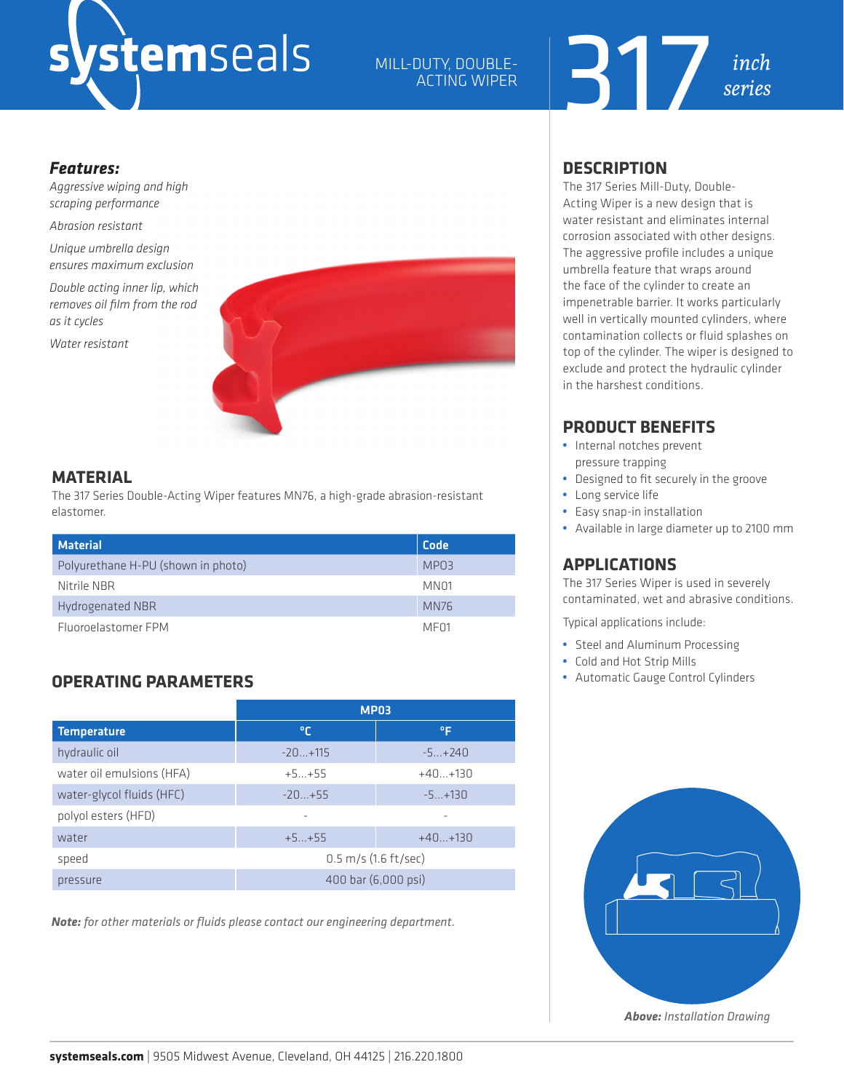# stemseals

## MILL-DUTY, DOUBLE-ACTING WIPER



#### *Features:*

*Aggressive wiping and high scraping performance*

*Abrasion resistant*

*Unique umbrella design ensures maximum exclusion*

*Double acting inner lip, which removes oil film from the rod as it cycles*

*Water resistant*



#### **MATERIAL**

The 317 Series Double-Acting Wiper features MN76, a high-grade abrasion-resistant elastomer.

| <b>Material</b>                    | Code             |
|------------------------------------|------------------|
| Polyurethane H-PU (shown in photo) | MPO3             |
| Nitrile NBR                        | MN <sub>01</sub> |
| Hydrogenated NBR                   | <b>MN76</b>      |
| Fluoroelastomer FPM                | MF <sub>01</sub> |

# **OPERATING PARAMETERS**

|                           | <b>MP03</b>                      |           |  |  |  |
|---------------------------|----------------------------------|-----------|--|--|--|
| <b>Temperature</b>        | ℃                                | ٥F        |  |  |  |
| hydraulic oil             | $-20+115$                        | $-5+240$  |  |  |  |
| water oil emulsions (HFA) | $+5+55$                          | $+40+130$ |  |  |  |
| water-glycol fluids (HFC) | $-20+55$                         | $-5+130$  |  |  |  |
| polyol esters (HFD)       |                                  |           |  |  |  |
| water                     | $+5+55$                          | $+40+130$ |  |  |  |
| speed                     | $0.5 \, \text{m/s}$ (1.6 ft/sec) |           |  |  |  |
| pressure                  | 400 bar (6,000 psi)              |           |  |  |  |

*Note: for other materials or fluids please contact our engineering department.*

### **DESCRIPTION**

The 317 Series Mill-Duty, Double-Acting Wiper is a new design that is water resistant and eliminates internal corrosion associated with other designs. The aggressive profile includes a unique umbrella feature that wraps around the face of the cylinder to create an impenetrable barrier. It works particularly well in vertically mounted cylinders, where contamination collects or fluid splashes on top of the cylinder. The wiper is designed to exclude and protect the hydraulic cylinder in the harshest conditions.

# **PRODUCT BENEFITS**

- **•** Internal notches prevent pressure trapping
- **•** Designed to fit securely in the groove
- **•** Long service life
- **•** Easy snap-in installation
- **•** Available in large diameter up to 2100 mm

# **APPLICATIONS**

The 317 Series Wiper is used in severely contaminated, wet and abrasive conditions.

Typical applications include:

- **•** Steel and Aluminum Processing
- **•** Cold and Hot Strip Mills
- **•** Automatic Gauge Control Cylinders



*Above: Installation Drawing*